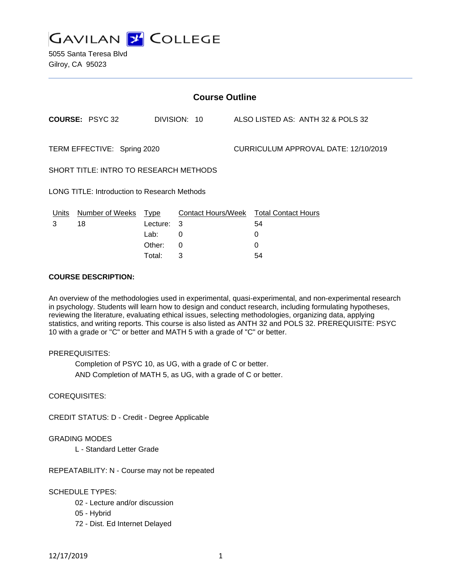

5055 Santa Teresa Blvd Gilroy, CA 95023

| <b>Course Outline</b>                        |                        |             |                           |  |                                      |  |
|----------------------------------------------|------------------------|-------------|---------------------------|--|--------------------------------------|--|
|                                              | <b>COURSE: PSYC 32</b> |             | DIVISION: 10              |  | ALSO LISTED AS: ANTH 32 & POLS 32    |  |
| TERM EFFECTIVE: Spring 2020                  |                        |             |                           |  | CURRICULUM APPROVAL DATE: 12/10/2019 |  |
| SHORT TITLE: INTRO TO RESEARCH METHODS       |                        |             |                           |  |                                      |  |
| LONG TITLE: Introduction to Research Methods |                        |             |                           |  |                                      |  |
| Units                                        | <b>Number of Weeks</b> | <u>Type</u> | <b>Contact Hours/Week</b> |  | <b>Total Contact Hours</b>           |  |
| 3                                            | 18                     | Lecture:    | -3                        |  | 54                                   |  |
|                                              |                        | Lab:        | 0                         |  | 0                                    |  |
|                                              |                        | Other:      | 0                         |  | $\Omega$                             |  |
|                                              |                        | Total:      | 3                         |  | 54                                   |  |

### **COURSE DESCRIPTION:**

An overview of the methodologies used in experimental, quasi-experimental, and non-experimental research in psychology. Students will learn how to design and conduct research, including formulating hypotheses, reviewing the literature, evaluating ethical issues, selecting methodologies, organizing data, applying statistics, and writing reports. This course is also listed as ANTH 32 and POLS 32. PREREQUISITE: PSYC 10 with a grade or "C" or better and MATH 5 with a grade of "C" or better.

## PREREQUISITES:

Completion of PSYC 10, as UG, with a grade of C or better. AND Completion of MATH 5, as UG, with a grade of C or better.

## COREQUISITES:

CREDIT STATUS: D - Credit - Degree Applicable

### GRADING MODES

L - Standard Letter Grade

REPEATABILITY: N - Course may not be repeated

### SCHEDULE TYPES:

- 02 Lecture and/or discussion
- 05 Hybrid
- 72 Dist. Ed Internet Delayed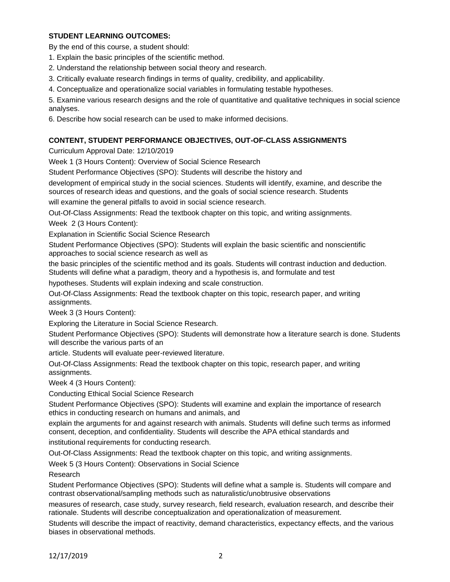# **STUDENT LEARNING OUTCOMES:**

By the end of this course, a student should:

- 1. Explain the basic principles of the scientific method.
- 2. Understand the relationship between social theory and research.
- 3. Critically evaluate research findings in terms of quality, credibility, and applicability.
- 4. Conceptualize and operationalize social variables in formulating testable hypotheses.

5. Examine various research designs and the role of quantitative and qualitative techniques in social science analyses.

6. Describe how social research can be used to make informed decisions.

# **CONTENT, STUDENT PERFORMANCE OBJECTIVES, OUT-OF-CLASS ASSIGNMENTS**

Curriculum Approval Date: 12/10/2019

Week 1 (3 Hours Content): Overview of Social Science Research

Student Performance Objectives (SPO): Students will describe the history and

development of empirical study in the social sciences. Students will identify, examine, and describe the sources of research ideas and questions, and the goals of social science research. Students

will examine the general pitfalls to avoid in social science research.

Out-Of-Class Assignments: Read the textbook chapter on this topic, and writing assignments.

Week 2 (3 Hours Content):

Explanation in Scientific Social Science Research

Student Performance Objectives (SPO): Students will explain the basic scientific and nonscientific approaches to social science research as well as

the basic principles of the scientific method and its goals. Students will contrast induction and deduction. Students will define what a paradigm, theory and a hypothesis is, and formulate and test

hypotheses. Students will explain indexing and scale construction.

Out-Of-Class Assignments: Read the textbook chapter on this topic, research paper, and writing assignments.

Week 3 (3 Hours Content):

Exploring the Literature in Social Science Research.

Student Performance Objectives (SPO): Students will demonstrate how a literature search is done. Students will describe the various parts of an

article. Students will evaluate peer-reviewed literature.

Out-Of-Class Assignments: Read the textbook chapter on this topic, research paper, and writing assignments.

Week 4 (3 Hours Content):

Conducting Ethical Social Science Research

Student Performance Objectives (SPO): Students will examine and explain the importance of research ethics in conducting research on humans and animals, and

explain the arguments for and against research with animals. Students will define such terms as informed consent, deception, and confidentiality. Students will describe the APA ethical standards and

institutional requirements for conducting research.

Out-Of-Class Assignments: Read the textbook chapter on this topic, and writing assignments.

Week 5 (3 Hours Content): Observations in Social Science

Research

Student Performance Objectives (SPO): Students will define what a sample is. Students will compare and contrast observational/sampling methods such as naturalistic/unobtrusive observations

measures of research, case study, survey research, field research, evaluation research, and describe their rationale. Students will describe conceptualization and operationalization of measurement.

Students will describe the impact of reactivity, demand characteristics, expectancy effects, and the various biases in observational methods.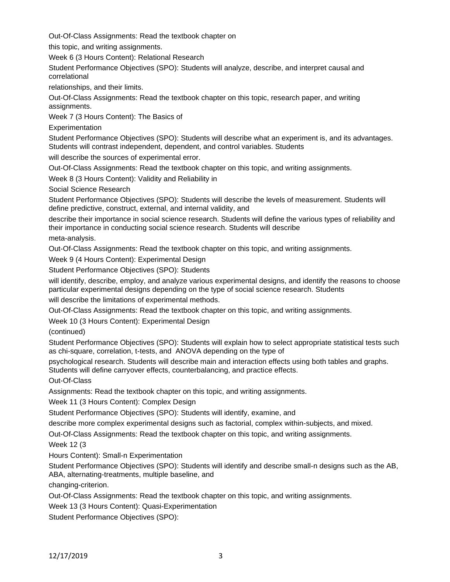Out-Of-Class Assignments: Read the textbook chapter on

this topic, and writing assignments.

Week 6 (3 Hours Content): Relational Research

Student Performance Objectives (SPO): Students will analyze, describe, and interpret causal and correlational

relationships, and their limits.

Out-Of-Class Assignments: Read the textbook chapter on this topic, research paper, and writing assignments.

Week 7 (3 Hours Content): The Basics of

Experimentation

Student Performance Objectives (SPO): Students will describe what an experiment is, and its advantages. Students will contrast independent, dependent, and control variables. Students

will describe the sources of experimental error.

Out-Of-Class Assignments: Read the textbook chapter on this topic, and writing assignments.

Week 8 (3 Hours Content): Validity and Reliability in

Social Science Research

Student Performance Objectives (SPO): Students will describe the levels of measurement. Students will define predictive, construct, external, and internal validity, and

describe their importance in social science research. Students will define the various types of reliability and their importance in conducting social science research. Students will describe

meta-analysis.

Out-Of-Class Assignments: Read the textbook chapter on this topic, and writing assignments.

Week 9 (4 Hours Content): Experimental Design

Student Performance Objectives (SPO): Students

will identify, describe, employ, and analyze various experimental designs, and identify the reasons to choose particular experimental designs depending on the type of social science research. Students

will describe the limitations of experimental methods.

Out-Of-Class Assignments: Read the textbook chapter on this topic, and writing assignments.

Week 10 (3 Hours Content): Experimental Design

(continued)

Student Performance Objectives (SPO): Students will explain how to select appropriate statistical tests such as chi-square, correlation, t-tests, and ANOVA depending on the type of

psychological research. Students will describe main and interaction effects using both tables and graphs.

Students will define carryover effects, counterbalancing, and practice effects.

Out-Of-Class

Assignments: Read the textbook chapter on this topic, and writing assignments.

Week 11 (3 Hours Content): Complex Design

Student Performance Objectives (SPO): Students will identify, examine, and

describe more complex experimental designs such as factorial, complex within-subjects, and mixed.

Out-Of-Class Assignments: Read the textbook chapter on this topic, and writing assignments.

Week 12 (3

Hours Content): Small-n Experimentation

Student Performance Objectives (SPO): Students will identify and describe small-n designs such as the AB, ABA, alternating-treatments, multiple baseline, and

changing-criterion.

Out-Of-Class Assignments: Read the textbook chapter on this topic, and writing assignments.

Week 13 (3 Hours Content): Quasi-Experimentation

Student Performance Objectives (SPO):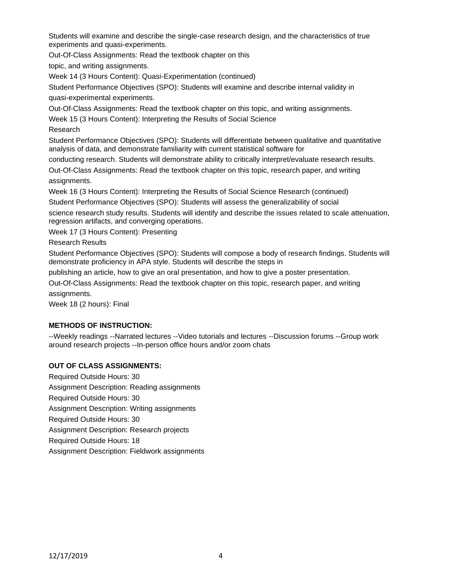Students will examine and describe the single-case research design, and the characteristics of true experiments and quasi-experiments.

Out-Of-Class Assignments: Read the textbook chapter on this

topic, and writing assignments.

Week 14 (3 Hours Content): Quasi-Experimentation (continued)

Student Performance Objectives (SPO): Students will examine and describe internal validity in quasi-experimental experiments.

Out-Of-Class Assignments: Read the textbook chapter on this topic, and writing assignments.

Week 15 (3 Hours Content): Interpreting the Results of Social Science

Research

Student Performance Objectives (SPO): Students will differentiate between qualitative and quantitative analysis of data, and demonstrate familiarity with current statistical software for

conducting research. Students will demonstrate ability to critically interpret/evaluate research results.

Out-Of-Class Assignments: Read the textbook chapter on this topic, research paper, and writing assignments.

Week 16 (3 Hours Content): Interpreting the Results of Social Science Research (continued)

Student Performance Objectives (SPO): Students will assess the generalizability of social

science research study results. Students will identify and describe the issues related to scale attenuation, regression artifacts, and converging operations.

Week 17 (3 Hours Content): Presenting

Research Results

Student Performance Objectives (SPO): Students will compose a body of research findings. Students will demonstrate proficiency in APA style. Students will describe the steps in

publishing an article, how to give an oral presentation, and how to give a poster presentation.

Out-Of-Class Assignments: Read the textbook chapter on this topic, research paper, and writing assignments.

Week 18 (2 hours): Final

# **METHODS OF INSTRUCTION:**

--Weekly readings --Narrated lectures --Video tutorials and lectures --Discussion forums --Group work around research projects --In-person office hours and/or zoom chats

## **OUT OF CLASS ASSIGNMENTS:**

Required Outside Hours: 30 Assignment Description: Reading assignments Required Outside Hours: 30 Assignment Description: Writing assignments Required Outside Hours: 30 Assignment Description: Research projects Required Outside Hours: 18 Assignment Description: Fieldwork assignments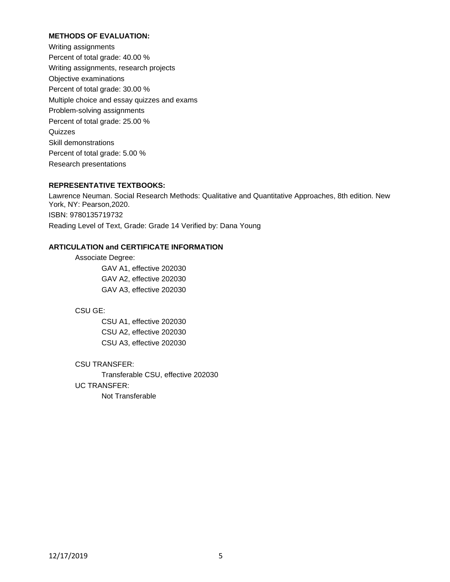## **METHODS OF EVALUATION:**

Writing assignments Percent of total grade: 40.00 % Writing assignments, research projects Objective examinations Percent of total grade: 30.00 % Multiple choice and essay quizzes and exams Problem-solving assignments Percent of total grade: 25.00 % **Quizzes** Skill demonstrations Percent of total grade: 5.00 % Research presentations

## **REPRESENTATIVE TEXTBOOKS:**

Lawrence Neuman. Social Research Methods: Qualitative and Quantitative Approaches, 8th edition. New York, NY: Pearson,2020. ISBN: 9780135719732 Reading Level of Text, Grade: Grade 14 Verified by: Dana Young

## **ARTICULATION and CERTIFICATE INFORMATION**

Associate Degree: GAV A1, effective 202030 GAV A2, effective 202030 GAV A3, effective 202030

CSU GE:

CSU A1, effective 202030 CSU A2, effective 202030 CSU A3, effective 202030

CSU TRANSFER:

Transferable CSU, effective 202030

UC TRANSFER:

Not Transferable